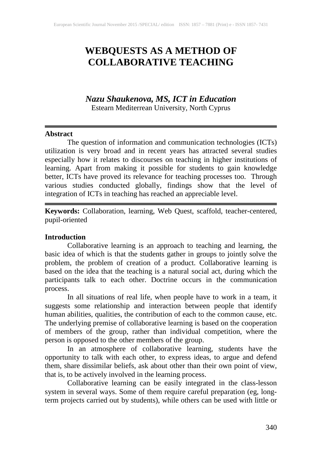# **WEBQUESTS AS A METHOD OF COLLABORATIVE TEACHING**

## *Nazu Shaukenova, MS, ICT in Education*

Estearn Mediterrean University, North Cyprus

#### **Abstract**

The question of information and communication technologies (ICTs) utilization is very broad and in recent years has attracted several studies especially how it relates to discourses on teaching in higher institutions of learning. Apart from making it possible for students to gain knowledge better, ICTs have proved its relevance for teaching processes too. Through various studies conducted globally, findings show that the level of integration of ICTs in teaching has reached an appreciable level.

**Keywords:** Collaboration, learning, Web Quest, scaffold, teacher-centered, pupil-oriented

#### **Introduction**

Collaborative learning is an approach to teaching and learning, the basic idea of which is that the students gather in groups to jointly solve the problem, the problem of creation of a product. Collaborative learning is based on the idea that the teaching is a natural social act, during which the participants talk to each other. Doctrine occurs in the communication process.

In all situations of real life, when people have to work in a team, it suggests some relationship and interaction between people that identify human abilities, qualities, the contribution of each to the common cause, etc. The underlying premise of collaborative learning is based on the cooperation of members of the group, rather than individual competition, where the person is opposed to the other members of the group.

In an atmosphere of collaborative learning, students have the opportunity to talk with each other, to express ideas, to argue and defend them, share dissimilar beliefs, ask about other than their own point of view, that is, to be actively involved in the learning process.

Collaborative learning can be easily integrated in the class-lesson system in several ways. Some of them require careful preparation (eg, longterm projects carried out by students), while others can be used with little or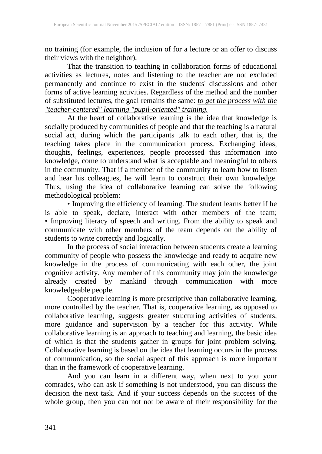no training (for example, the inclusion of for a lecture or an offer to discuss their views with the neighbor).

That the transition to teaching in collaboration forms of educational activities as lectures, notes and listening to the teacher are not excluded permanently and continue to exist in the students' discussions and other forms of active learning activities. Regardless of the method and the number of substituted lectures, the goal remains the same: *to get the process with the "teacher-centered" learning "pupil-oriented" training.*

At the heart of collaborative learning is the idea that knowledge is socially produced by communities of people and that the teaching is a natural social act, during which the participants talk to each other, that is, the teaching takes place in the communication process. Exchanging ideas, thoughts, feelings, experiences, people processed this information into knowledge, come to understand what is acceptable and meaningful to others in the community. That if a member of the community to learn how to listen and hear his colleagues, he will learn to construct their own knowledge. Thus, using the idea of collaborative learning can solve the following methodological problem:

• Improving the efficiency of learning. The student learns better if he is able to speak, declare, interact with other members of the team; • Improving literacy of speech and writing. From the ability to speak and communicate with other members of the team depends on the ability of students to write correctly and logically.

In the process of social interaction between students create a learning community of people who possess the knowledge and ready to acquire new knowledge in the process of communicating with each other, the joint cognitive activity. Any member of this community may join the knowledge already created by mankind through communication with more knowledgeable people.

Cooperative learning is more prescriptive than collaborative learning, more controlled by the teacher. That is, cooperative learning, as opposed to collaborative learning, suggests greater structuring activities of students, more guidance and supervision by a teacher for this activity. While collaborative learning is an approach to teaching and learning, the basic idea of which is that the students gather in groups for joint problem solving. Collaborative learning is based on the idea that learning occurs in the process of communication, so the social aspect of this approach is more important than in the framework of cooperative learning.

And you can learn in a different way, when next to you your comrades, who can ask if something is not understood, you can discuss the decision the next task. And if your success depends on the success of the whole group, then you can not not be aware of their responsibility for the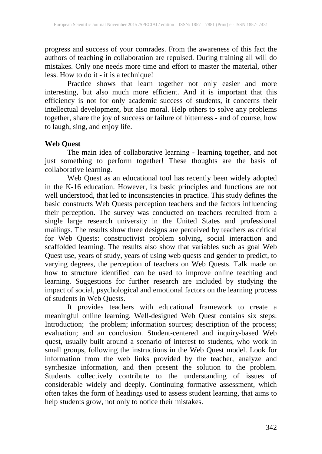progress and success of your comrades. From the awareness of this fact the authors of teaching in collaboration are repulsed. During training all will do mistakes. Only one needs more time and effort to master the material, other less. How to do it - it is a technique!

Practice shows that learn together not only easier and more interesting, but also much more efficient. And it is important that this efficiency is not for only academic success of students, it concerns their intellectual development, but also moral. Help others to solve any problems together, share the joy of success or failure of bitterness - and of course, how to laugh, sing, and enjoy life.

### **Web Quest**

The main idea of collaborative learning - learning together, and not just something to perform together! These thoughts are the basis of collaborative learning.

Web Quest as an educational tool has recently been widely adopted in the K-16 education. However, its basic principles and functions are not well understood, that led to inconsistencies in practice. This study defines the basic constructs Web Quests perception teachers and the factors influencing their perception. The survey was conducted on teachers recruited from a single large research university in the United States and professional mailings. The results show three designs are perceived by teachers as critical for Web Quests: constructivist problem solving, social interaction and scaffolded learning. The results also show that variables such as goal Web Quest use, years of study, years of using web quests and gender to predict, to varying degrees, the perception of teachers on Web Quests. Talk made on how to structure identified can be used to improve online teaching and learning. Suggestions for further research are included by studying the impact of social, psychological and emotional factors on the learning process of students in Web Quests.

It provides teachers with educational framework to create a meaningful online learning. Well-designed Web Quest contains six steps: Introduction; the problem; information sources; description of the process; evaluation; and an conclusion. Student-centered and inquiry-based Web quest, usually built around a scenario of interest to students, who work in small groups, following the instructions in the Web Quest model. Look for information from the web links provided by the teacher, analyze and synthesize information, and then present the solution to the problem. Students collectively contribute to the understanding of issues of considerable widely and deeply. Continuing formative assessment, which often takes the form of headings used to assess student learning, that aims to help students grow, not only to notice their mistakes.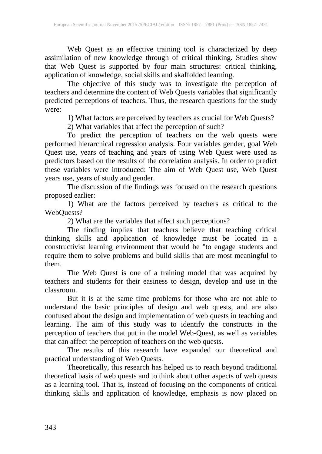Web Quest as an effective training tool is characterized by deep assimilation of new knowledge through of critical thinking. Studies show that Web Quest is supported by four main structures: critical thinking, application of knowledge, social skills and skaffolded learning.

The objective of this study was to investigate the perception of teachers and determine the content of Web Quests variables that significantly predicted perceptions of teachers. Thus, the research questions for the study were:

1) What factors are perceived by teachers as crucial for Web Quests?

2) What variables that affect the perception of such?

To predict the perception of teachers on the web quests were performed hierarchical regression analysis. Four variables gender, goal Web Quest use, years of teaching and years of using Web Quest were used as predictors based on the results of the correlation analysis. In order to predict these variables were introduced: The aim of Web Quest use, Web Quest years use, years of study and gender.

The discussion of the findings was focused on the research questions proposed earlier:

1) What are the factors perceived by teachers as critical to the WebQuests?

2) What are the variables that affect such perceptions?

The finding implies that teachers believe that teaching critical thinking skills and application of knowledge must be located in a constructivist learning environment that would be "to engage students and require them to solve problems and build skills that are most meaningful to them.

The Web Quest is one of a training model that was acquired by teachers and students for their easiness to design, develop and use in the classroom.

But it is at the same time problems for those who are not able to understand the basic principles of design and web quests, and are also confused about the design and implementation of web quests in teaching and learning. The aim of this study was to identify the constructs in the perception of teachers that put in the model Web-Quest, as well as variables that can affect the perception of teachers on the web quests.

The results of this research have expanded our theoretical and practical understanding of Web Quests.

Theoretically, this research has helped us to reach beyond traditional theoretical basis of web quests and to think about other aspects of web quests as a learning tool. That is, instead of focusing on the components of critical thinking skills and application of knowledge, emphasis is now placed on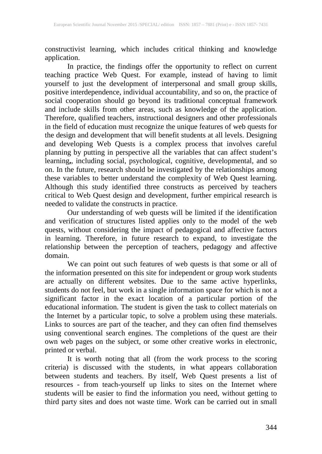constructivist learning, which includes critical thinking and knowledge application.

In practice, the findings offer the opportunity to reflect on current teaching practice Web Quest. For example, instead of having to limit yourself to just the development of interpersonal and small group skills, positive interdependence, individual accountability, and so on, the practice of social cooperation should go beyond its traditional conceptual framework and include skills from other areas, such as knowledge of the application. Therefore, qualified teachers, instructional designers and other professionals in the field of education must recognize the unique features of web quests for the design and development that will benefit students at all levels. Designing and developing Web Quests is a complex process that involves careful planning by putting in perspective all the variables that can affect student's learning**,**, including social, psychological, cognitive, developmental, and so on. In the future, research should be investigated by the relationships among these variables to better understand the complexity of Web Quest learning. Although this study identified three constructs as perceived by teachers critical to Web Quest design and development, further empirical research is needed to validate the constructs in practice.

Our understanding of web quests will be limited if the identification and verification of structures listed applies only to the model of the web quests, without considering the impact of pedagogical and affective factors in learning. Therefore, in future research to expand, to investigate the relationship between the perception of teachers, pedagogy and affective domain.

We can point out such features of web quests is that some or all of the information presented on this site for independent or group work students are actually on different websites. Due to the same active hyperlinks, students do not feel, but work in a single information space for which is not a significant factor in the exact location of a particular portion of the educational information. The student is given the task to collect materials on the Internet by a particular topic, to solve a problem using these materials. Links to sources are part of the teacher, and they can often find themselves using conventional search engines. The completions of the quest are their own web pages on the subject, or some other creative works in electronic, printed or verbal.

It is worth noting that all (from the work process to the scoring criteria) is discussed with the students, in what appears collaboration between students and teachers. By itself, Web Quest presents a list of resources - from teach-yourself up links to sites on the Internet where students will be easier to find the information you need, without getting to third party sites and does not waste time. Work can be carried out in small